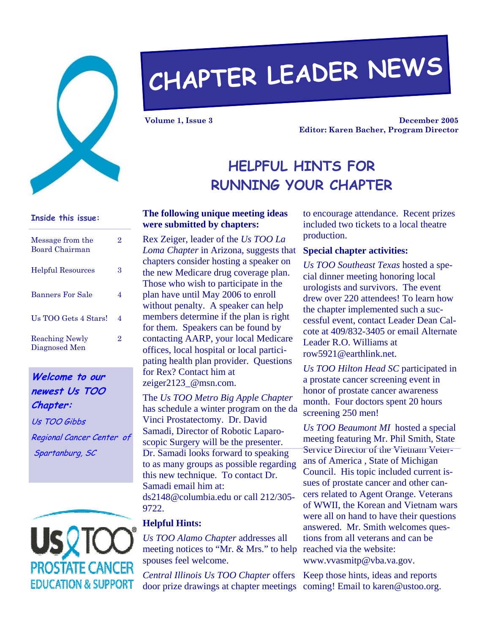

# **CHAPTER LEADER NEWS**

**Volume 1, Issue 3** 

**December 2005 Editor: Karen Bacher, Program Director** 

# **HELPFUL HINTS FOR RUNNING YOUR CHAPTER**

#### **The following unique meeting ideas were submitted by chapters:**

Rex Zeiger, leader of the *Us TOO La Loma Chapter* in Arizona, suggests that chapters consider hosting a speaker on the new Medicare drug coverage plan. Those who wish to participate in the plan have until May 2006 to enroll without penalty. A speaker can help members determine if the plan is right for them. Speakers can be found by contacting AARP, your local Medicare offices, local hospital or local participating health plan provider. Questions for Rex? Contact him at zeiger2123\_@msn.com.

The *Us TOO Metro Big Apple Chapter*  has schedule a winter program on the da Vinci Prostatectomy. Dr. David Samadi, Director of Robotic Laparoscopic Surgery will be the presenter. Dr. Samadi looks forward to speaking to as many groups as possible regarding this new technique. To contact Dr. Samadi email him at: ds2148@columbia.edu or call 212/305- 9722.

#### **Helpful Hints:**

*Us TOO Alamo Chapter* addresses all meeting notices to "Mr. & Mrs." to help reached via the website: spouses feel welcome.

*Central Illinois Us TOO Chapter* offers Keep those hints, ideas and reports door prize drawings at chapter meetings coming! Email to karen@ustoo.org.

to encourage attendance. Recent prizes included two tickets to a local theatre production.

#### **Special chapter activities:**

*Us TOO Southeast Texas* hosted a special dinner meeting honoring local urologists and survivors. The event drew over 220 attendees! To learn how the chapter implemented such a successful event, contact Leader Dean Calcote at 409/832-3405 or email Alternate Leader R.O. Williams at row5921@earthlink.net.

*Us TOO Hilton Head SC* participated in a prostate cancer screening event in honor of prostate cancer awareness month. Four doctors spent 20 hours screening 250 men!

*Us TOO Beaumont MI* hosted a special meeting featuring Mr. Phil Smith, State Service Director of the Vietnam Veterans of America , State of Michigan Council. His topic included current issues of prostate cancer and other cancers related to Agent Orange. Veterans of WWII, the Korean and Vietnam wars were all on hand to have their questions answered. Mr. Smith welcomes questions from all veterans and can be

www.vvasmitp@vba.va.gov.

#### **Inside this issue:**

| Message from the<br>Board Chairman     | 2 |
|----------------------------------------|---|
| <b>Helpful Resources</b>               | З |
| <b>Banners For Sale</b>                | 4 |
| Us TOO Gets 4 Stars!                   | 4 |
| <b>Reaching Newly</b><br>Diagnosed Men | 2 |

**Welcome to our newest Us TOO Chapter:** 

Us TOO Gibbs Regional Cancer Center of Spartanburg, SC

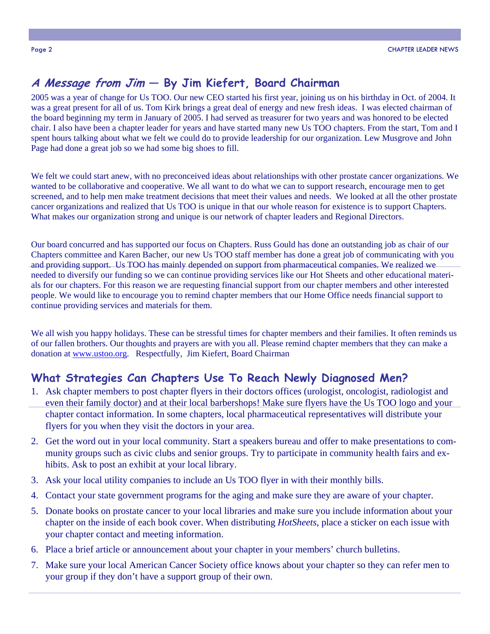## **A Message from Jim — By Jim Kiefert, Board Chairman**

2005 was a year of change for Us TOO. Our new CEO started his first year, joining us on his birthday in Oct. of 2004. It was a great present for all of us. Tom Kirk brings a great deal of energy and new fresh ideas. I was elected chairman of the board beginning my term in January of 2005. I had served as treasurer for two years and was honored to be elected chair. I also have been a chapter leader for years and have started many new Us TOO chapters. From the start, Tom and I spent hours talking about what we felt we could do to provide leadership for our organization. Lew Musgrove and John Page had done a great job so we had some big shoes to fill.

We felt we could start anew, with no preconceived ideas about relationships with other prostate cancer organizations. We wanted to be collaborative and cooperative. We all want to do what we can to support research, encourage men to get screened, and to help men make treatment decisions that meet their values and needs. We looked at all the other prostate cancer organizations and realized that Us TOO is unique in that our whole reason for existence is to support Chapters. What makes our organization strong and unique is our network of chapter leaders and Regional Directors.

Our board concurred and has supported our focus on Chapters. Russ Gould has done an outstanding job as chair of our Chapters committee and Karen Bacher, our new Us TOO staff member has done a great job of communicating with you and providing support. Us TOO has mainly depended on support from pharmaceutical companies. We realized we needed to diversify our funding so we can continue providing services like our Hot Sheets and other educational materials for our chapters. For this reason we are requesting financial support from our chapter members and other interested people. We would like to encourage you to remind chapter members that our Home Office needs financial support to continue providing services and materials for them.

We all wish you happy holidays. These can be stressful times for chapter members and their families. It often reminds us of our fallen brothers. Our thoughts and prayers are with you all. Please remind chapter members that they can make a donation at www.ustoo.org. Respectfully, Jim Kiefert, Board Chairman

## **What Strategies Can Chapters Use To Reach Newly Diagnosed Men?**

- 1. Ask chapter members to post chapter flyers in their doctors offices (urologist, oncologist, radiologist and even their family doctor) and at their local barbershops! Make sure flyers have the Us TOO logo and your chapter contact information. In some chapters, local pharmaceutical representatives will distribute your flyers for you when they visit the doctors in your area.
- 2. Get the word out in your local community. Start a speakers bureau and offer to make presentations to community groups such as civic clubs and senior groups. Try to participate in community health fairs and exhibits. Ask to post an exhibit at your local library.
- 3. Ask your local utility companies to include an Us TOO flyer in with their monthly bills.
- 4. Contact your state government programs for the aging and make sure they are aware of your chapter.
- 5. Donate books on prostate cancer to your local libraries and make sure you include information about your chapter on the inside of each book cover. When distributing *HotSheets*, place a sticker on each issue with your chapter contact and meeting information.
- 6. Place a brief article or announcement about your chapter in your members' church bulletins.
- 7. Make sure your local American Cancer Society office knows about your chapter so they can refer men to your group if they don't have a support group of their own.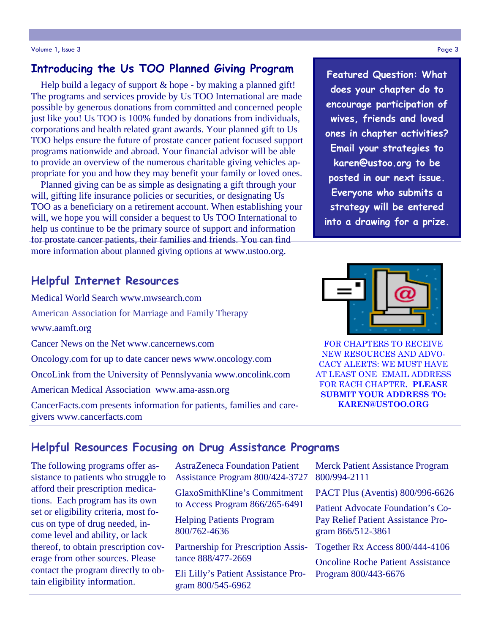## **Introducing the Us TOO Planned Giving Program**

Help build a legacy of support & hope - by making a planned gift! The programs and services provide by Us TOO International are made possible by generous donations from committed and concerned people just like you! Us TOO is 100% funded by donations from individuals, corporations and health related grant awards. Your planned gift to Us TOO helps ensure the future of prostate cancer patient focused support programs nationwide and abroad. Your financial advisor will be able to provide an overview of the numerous charitable giving vehicles appropriate for you and how they may benefit your family or loved ones.

 Planned giving can be as simple as designating a gift through your will, gifting life insurance policies or securities, or designating Us TOO as a beneficiary on a retirement account. When establishing your will, we hope you will consider a bequest to Us TOO International to help us continue to be the primary source of support and information for prostate cancer patients, their families and friends. You can find more information about planned giving options at www.ustoo.org.

#### **Helpful Internet Resources**

Medical World Search www.mwsearch.com American Association for Marriage and Family Therapy www.aamft.org Cancer News on the Net www.cancernews.com Oncology.com for up to date cancer news www.oncology.com OncoLink from the University of Pennslyvania www.oncolink.com American Medical Association www.ama-assn.org

CancerFacts.com presents information for patients, families and caregivers www.cancerfacts.com





FOR CHAPTERS TO RECEIVE NEW RESOURCES AND ADVO-CACY ALERTS: WE MUST HAVE AT LEAST ONE EMAIL ADDRESS FOR EACH CHAPTER**. PLEASE SUBMIT YOUR ADDRESS TO: KAREN@USTOO.ORG** 

#### **Helpful Resources Focusing on Drug Assistance Programs**

The following programs offer assistance to patients who struggle to afford their prescription medications. Each program has its own set or eligibility criteria, most focus on type of drug needed, income level and ability, or lack thereof, to obtain prescription coverage from other sources. Please contact the program directly to obtain eligibility information.

AstraZeneca Foundation Patient Assistance Program 800/424-3727

GlaxoSmithKline's Commitment to Access Program 866/265-6491

Helping Patients Program 800/762-4636

Partnership for Prescription Assistance 888/477-2669

Eli Lilly's Patient Assistance Program 800/545-6962

Merck Patient Assistance Program 800/994-2111

PACT Plus (Aventis) 800/996-6626

Patient Advocate Foundation's Co-Pay Relief Patient Assistance Program 866/512-3861

Together Rx Access 800/444-4106

Oncoline Roche Patient Assistance Program 800/443-6676